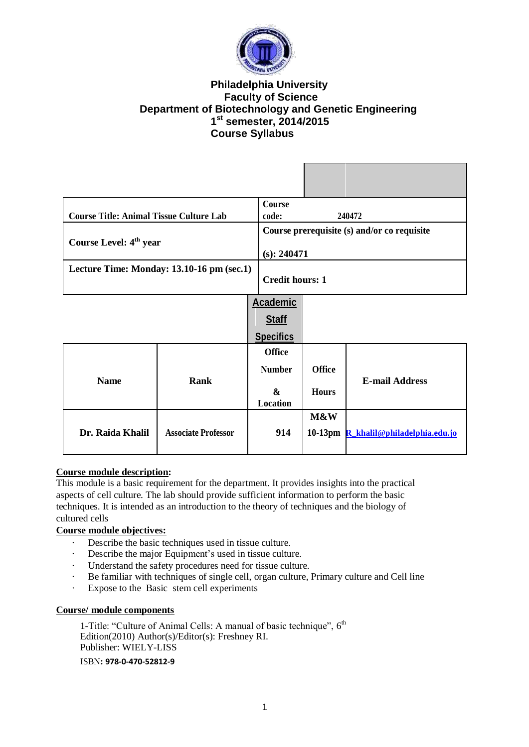

# **Philadelphia University Faculty of Science Department of Biotechnology and Genetic Engineering 1 st semester, 2014/2015 Course Syllabus**

| <b>Course Title: Animal Tissue Culture Lab</b> |                            | Course<br>code:               |                                             | 240472                               |  |
|------------------------------------------------|----------------------------|-------------------------------|---------------------------------------------|--------------------------------------|--|
| Course Level: 4 <sup>th</sup> year             |                            |                               | Course prerequisite (s) and/or co requisite |                                      |  |
| Lecture Time: Monday: 13.10-16 pm (sec.1)      |                            |                               | $(s)$ : 240471<br><b>Credit hours: 1</b>    |                                      |  |
|                                                |                            | <b>Academic</b>               |                                             |                                      |  |
|                                                |                            | <b>Staff</b>                  |                                             |                                      |  |
|                                                |                            | <b>Specifics</b>              |                                             |                                      |  |
|                                                |                            | <b>Office</b>                 |                                             |                                      |  |
|                                                |                            | <b>Number</b>                 | <b>Office</b>                               |                                      |  |
| <b>Name</b>                                    | <b>Rank</b>                | $\boldsymbol{\&}$<br>Location | <b>Hours</b>                                | <b>E-mail Address</b>                |  |
| Dr. Raida Khalil                               | <b>Associate Professor</b> | 914                           | M&W                                         | 10-13pm R_khalil@philadelphia.edu.jo |  |

# **Course module description:**

This module is a basic requirement for the department. It provides insights into the practical aspects of cell culture. The lab should provide sufficient information to perform the basic techniques. It is intended as an introduction to the theory of techniques and the biology of cultured cells

## **Course module objectives:**

- · Describe the basic techniques used in tissue culture.
- · Describe the major Equipment's used in tissue culture.
- Understand the safety procedures need for tissue culture.
- · Be familiar with techniques of single cell, organ culture, Primary culture and Cell line
- · Expose to the Basic stem cell experiments

## **Course/ module components**

1-Title: "Culture of Animal Cells: A manual of basic technique", 6<sup>th</sup> Edition(2010) Author(s)/Editor(s): Freshney RI. Publisher: WIELY-LISS ISBN**: 978-0-470-52812-9**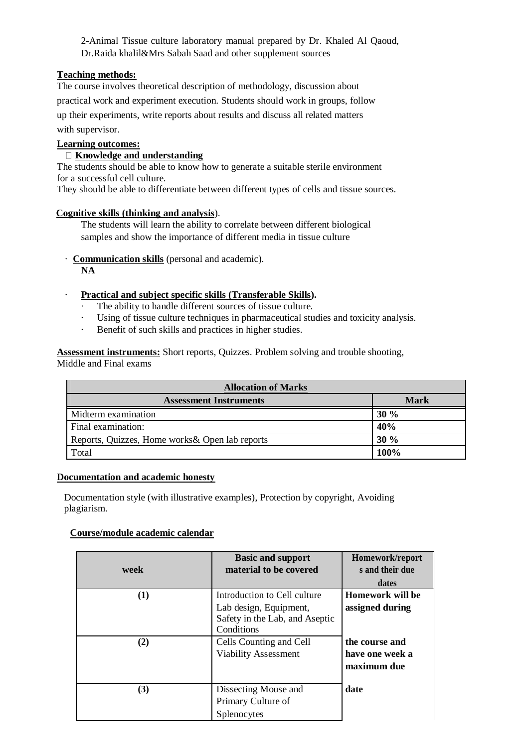2-Animal Tissue culture laboratory manual prepared by Dr. Khaled Al Qaoud, Dr.Raida khalil&Mrs Sabah Saad and other supplement sources

## **Teaching methods:**

The course involves theoretical description of methodology, discussion about practical work and experiment execution. Students should work in groups, follow up their experiments, write reports about results and discuss all related matters with supervisor.

# **Learning outcomes:**

## **Knowledge and understanding**

The students should be able to know how to generate a suitable sterile environment for a successful cell culture.

They should be able to differentiate between different types of cells and tissue sources.

### **Cognitive skills (thinking and analysis**).

The students will learn the ability to correlate between different biological samples and show the importance of different media in tissue culture

- · **Communication skills** (personal and academic). **NA**
- · **Practical and subject specific skills (Transferable Skills).** 
	- The ability to handle different sources of tissue culture.
	- Using of tissue culture techniques in pharmaceutical studies and toxicity analysis.
	- · Benefit of such skills and practices in higher studies.

**Assessment instruments:** Short reports, Quizzes. Problem solving and trouble shooting, Middle and Final exams

| <b>Allocation of Marks</b>                      |      |  |  |  |
|-------------------------------------------------|------|--|--|--|
| <b>Assessment Instruments</b>                   | Mark |  |  |  |
| Midterm examination                             | 30%  |  |  |  |
| Final examination:                              | 40%  |  |  |  |
| Reports, Quizzes, Home works & Open lab reports | 30%  |  |  |  |
| Total                                           | 100% |  |  |  |

#### **Documentation and academic honesty**

Documentation style (with illustrative examples), Protection by copyright, Avoiding plagiarism.

### **Course/module academic calendar**

| week       | <b>Basic and support</b><br>material to be covered                                                                                                               | Homework/report<br>s and their due<br>dates                                                    |
|------------|------------------------------------------------------------------------------------------------------------------------------------------------------------------|------------------------------------------------------------------------------------------------|
| (1)<br>(2) | Introduction to Cell culture<br>Lab design, Equipment,<br>Safety in the Lab, and Aseptic<br>Conditions<br>Cells Counting and Cell<br><b>Viability Assessment</b> | <b>Homework will be</b><br>assigned during<br>the course and<br>have one week a<br>maximum due |
| (3)        | Dissecting Mouse and<br>Primary Culture of<br>Splenocytes                                                                                                        | date                                                                                           |